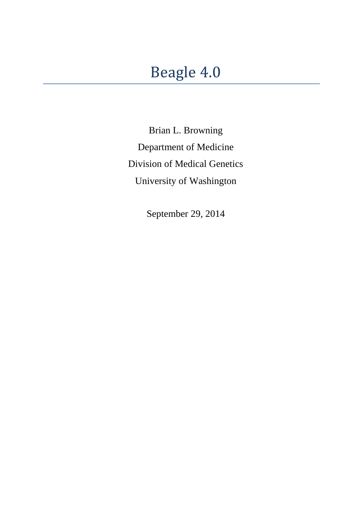Brian L. Browning Department of Medicine Division of Medical Genetics University of Washington

September 29, 2014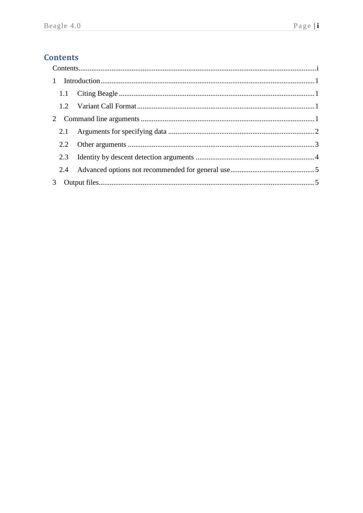# <span id="page-1-0"></span>**Contents**

|  | 2.1 |  |  |  |
|--|-----|--|--|--|
|  |     |  |  |  |
|  | 2.3 |  |  |  |
|  |     |  |  |  |
|  |     |  |  |  |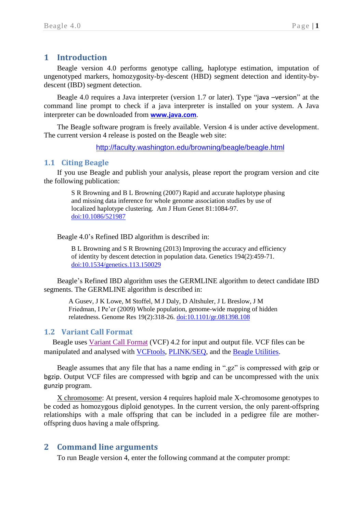## <span id="page-2-0"></span>**1 Introduction**

Beagle version 4.0 performs genotype calling, haplotype estimation, imputation of ungenotyped markers, homozygosity-by-descent (HBD) segment detection and identity-bydescent (IBD) segment detection.

Beagle 4.0 requires a Java interpreter (version 1.7 or later). Type "java –version" at the command line prompt to check if a java interpreter is installed on your system. A Java interpreter can be downloaded from **[www.java.com](file:///C:/Users/browning/SkyDrive/Documents/My%20Articles/Word/Beagle%204%20docs/www.java.com)**.

The Beagle software program is freely available. Version 4 is under active development. The current version 4 release is posted on the Beagle web site:

<http://faculty.washington.edu/browning/beagle/beagle.html>

## <span id="page-2-1"></span>**1.1 Citing Beagle**

If you use Beagle and publish your analysis, please report the program version and cite the following publication:

> S R Browning and B L Browning (2007) Rapid and accurate haplotype phasing and missing data inference for whole genome association studies by use of localized haplotype clustering. Am J Hum Genet 81:1084-97. [doi:10.1086/521987](http://dx.doi.org/10.1086/521987)

Beagle 4.0's Refined IBD algorithm is described in:

B L Browning and S R Browning (2013) Improving the accuracy and efficiency of identity by descent detection in population data. Genetics 194(2):459-71. [doi:10.1534/genetics.113.150029](http://dx.doi.org/10.1534/genetics.113.150029)

Beagle's Refined IBD algorithm uses the GERMLINE algorithm to detect candidate IBD segments. The GERMLINE algorithm is described in:

A Gusev, J K Lowe, M Stoffel, M J Daly, D Altshuler, J L Breslow, J M Friedman, I Pe'er (2009) Whole population, genome-wide mapping of hidden relatedness. Genome Res 19(2):318-26. [doi:10.1101/gr.081398.108](http://dx.doi.org/10.1101/gr.081398.108)

#### <span id="page-2-2"></span>**1.2 Variant Call Format**

Beagle uses [Variant Call Format](http://faculty.washington.edu/browning/beagle/intro-to-vcf.html) (VCF) 4.2 for input and output file. VCF files can be manipulated and analysed with [VCFtools,](http://vcftools.sourceforge.net/) [PLINK/SEQ,](http://atgu.mgh.harvard.edu/plinkseq/) and the [Beagle Utilities.](http://faculty.washington.edu/browning/beagle_utilities/utilities.html)

Beagle assumes that any file that has a name ending in ".gz" is compressed with gzip or bgzip. Output VCF files are compressed with bgzip and can be uncompressed with the unix gunzip program.

X chromosome: At present, version 4 requires haploid male X-chromosome genotypes to be coded as homozygous diploid genotypes. In the current version, the only parent-offspring relationships with a male offspring that can be included in a pedigree file are motheroffspring duos having a male offspring.

## <span id="page-2-3"></span>**2 Command line arguments**

To run Beagle version 4, enter the following command at the computer prompt: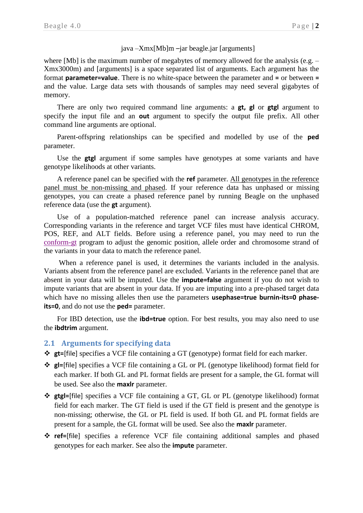## java –Xmx[Mb]m –jar beagle.jar [arguments]

where [Mb] is the maximum number of megabytes of memory allowed for the analysis (e.g. – Xmx3000m) and [arguments] is a space separated list of arguments. Each argument has the format **parameter=value**. There is no white-space between the parameter and **=** or between **=** and the value. Large data sets with thousands of samples may need several gigabytes of memory.

There are only two required command line arguments: a **gt, gl** or **gtgl** argument to specify the input file and an **out** argument to specify the output file prefix. All other command line arguments are optional.

Parent-offspring relationships can be specified and modelled by use of the **ped** parameter.

Use the **gtgl** argument if some samples have genotypes at some variants and have genotype likelihoods at other variants.

A reference panel can be specified with the **ref** parameter. All genotypes in the reference panel must be non-missing and phased. If your reference data has unphased or missing genotypes, you can create a phased reference panel by running Beagle on the unphased reference data (use the **gt** argument).

Use of a population-matched reference panel can increase analysis accuracy. Corresponding variants in the reference and target VCF files must have identical CHROM, POS, REF, and ALT fields. Before using a reference panel, you may need to run the [conform-gt](http://faculty.washington.edu/browning/conform-gt.html) program to adjust the genomic position, allele order and chromosome strand of the variants in your data to match the reference panel.

When a reference panel is used, it determines the variants included in the analysis. Variants absent from the reference panel are excluded. Variants in the reference panel that are absent in your data will be imputed. Use the **impute=false** argument if you do not wish to impute variants that are absent in your data. If you are imputing into a pre-phased target data which have no missing alleles then use the parameters **usephase=true burnin-its=0 phaseits=0**, and do not use the **ped=** parameter.

For IBD detection, use the **ibd=true** option. For best results, you may also need to use the **ibdtrim** argument.

## <span id="page-3-0"></span>**2.1 Arguments for specifying data**

**gt=**[file] specifies a VCF file containing a GT (genotype) format field for each marker.

- **gl=**[file] specifies a VCF file containing a GL or PL (genotype likelihood) format field for each marker. If both GL and PL format fields are present for a sample, the GL format will be used. See also the **maxlr** parameter.
- **gtgl=**[file] specifies a VCF file containing a GT, GL or PL (genotype likelihood) format field for each marker. The GT field is used if the GT field is present and the genotype is non-missing; otherwise, the GL or PL field is used. If both GL and PL format fields are present for a sample, the GL format will be used. See also the **maxlr** parameter.
- **ref=**[file] specifies a reference VCF file containing additional samples and phased genotypes for each marker. See also the **impute** parameter.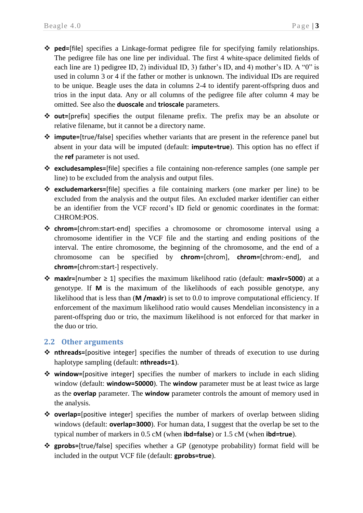- **ped=**[file] specifies a Linkage-format pedigree file for specifying family relationships. The pedigree file has one line per individual. The first 4 white-space delimited fields of each line are 1) pedigree ID, 2) individual ID, 3) father's ID, and 4) mother's ID. A "0" is used in column 3 or 4 if the father or mother is unknown. The individual IDs are required to be unique. Beagle uses the data in columns 2-4 to identify parent-offspring duos and trios in the input data. Any or all columns of the pedigree file after column 4 may be omitted. See also the **duoscale** and **trioscale** parameters.
- **out=**[prefix] specifies the output filename prefix. The prefix may be an absolute or relative filename, but it cannot be a directory name.
- **impute=**[true/false] specifies whether variants that are present in the reference panel but absent in your data will be imputed (default: **impute=true**). This option has no effect if the **ref** parameter is not used.
- **excludesamples=**[file] specifies a file containing non-reference samples (one sample per line) to be excluded from the analysis and output files.
- **excludemarkers=**[file] specifies a file containing markers (one marker per line) to be excluded from the analysis and the output files. An excluded marker identifier can either be an identifier from the VCF record's ID field or genomic coordinates in the format: CHROM:POS.
- **chrom=**[chrom:start-end] specifies a chromosome or chromosome interval using a chromosome identifier in the VCF file and the starting and ending positions of the interval. The entire chromosome, the beginning of the chromosome, and the end of a chromosome can be specified by **chrom**=[chrom], **chrom=**[chrom:-end], and **chrom=**[chrom:start-] respectively.
- **maxlr=**[number ≥ 1] specifies the maximum likelihood ratio (default: **maxlr=5000**) at a genotype. If **M** is the maximum of the likelihoods of each possible genotype, any likelihood that is less than (**M /maxlr**) is set to 0.0 to improve computational efficiency. If enforcement of the maximum likelihood ratio would causes Mendelian inconsistency in a parent-offspring duo or trio, the maximum likelihood is not enforced for that marker in the duo or trio.

## <span id="page-4-0"></span>**2.2 Other arguments**

- **nthreads=**[positive integer] specifies the number of threads of execution to use during haplotype sampling (default: **nthreads=1**).
- **window=**[positive integer] specifies the number of markers to include in each sliding window (default: **window=50000**). The **window** parameter must be at least twice as large as the **overlap** parameter. The **window** parameter controls the amount of memory used in the analysis.
- **overlap=**[positive integer] specifies the number of markers of overlap between sliding windows (default: **overlap=3000**). For human data, I suggest that the overlap be set to the typical number of markers in 0.5 cM (when **ibd=false**) or 1.5 cM (when **ibd=true**).
- **gprobs=**[true/false] specifies whether a GP (genotype probability) format field will be included in the output VCF file (default: **gprobs=true**).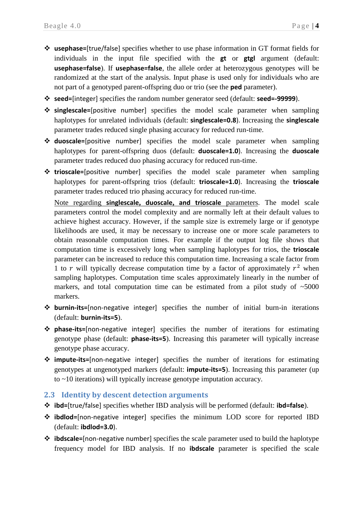- **usephase=**[true/false] specifies whether to use phase information in GT format fields for individuals in the input file specified with the **gt** or **gtgl** argument (default: **usephase=false**). If **usephase=false**, the allele order at heterozygous genotypes will be randomized at the start of the analysis. Input phase is used only for individuals who are not part of a genotyped parent-offspring duo or trio (see the **ped** parameter).
- **seed=**[integer] specifies the random number generator seed (default: **seed=-99999**).
- **singlescale=**[positive number] specifies the model scale parameter when sampling haplotypes for unrelated individuals (default: **singlescale=0.8**). Increasing the **singlescale** parameter trades reduced single phasing accuracy for reduced run-time.
- **duoscale=**[positive number] specifies the model scale parameter when sampling haplotypes for parent-offspring duos (default: **duoscale=1.0**). Increasing the **duoscale** parameter trades reduced duo phasing accuracy for reduced run-time.
- **trioscale=**[positive number] specifies the model scale parameter when sampling haplotypes for parent-offspring trios (default: **trioscale=1.0**). Increasing the **trioscale** parameter trades reduced trio phasing accuracy for reduced run-time.

Note regarding **singlescale, duoscale, and trioscale** parameters. The model scale parameters control the model complexity and are normally left at their default values to achieve highest accuracy. However, if the sample size is extremely large or if genotype likelihoods are used, it may be necessary to increase one or more scale parameters to obtain reasonable computation times. For example if the output log file shows that computation time is excessively long when sampling haplotypes for trios, the **trioscale** parameter can be increased to reduce this computation time. Increasing a scale factor from 1 to r will typically decrease computation time by a factor of approximately  $r^2$  when sampling haplotypes. Computation time scales approximately linearly in the number of markers, and total computation time can be estimated from a pilot study of  $\sim$ 5000 markers.

- **burnin-its=**[non-negative integer] specifies the number of initial burn-in iterations (default: **burnin-its=5**).
- **phase-its=**[non-negative integer] specifies the number of iterations for estimating genotype phase (default: **phase-its=5**). Increasing this parameter will typically increase genotype phase accuracy.
- **impute-its=**[non-negative integer] specifies the number of iterations for estimating genotypes at ungenotyped markers (default: **impute-its=5**). Increasing this parameter (up to ~10 iterations) will typically increase genotype imputation accuracy.

## <span id="page-5-0"></span>**2.3 Identity by descent detection arguments**

- **ibd=**[true/false] specifies whether IBD analysis will be performed (default: **ibd=false**).
- **ibdlod=**[non-negative integer] specifies the minimum LOD score for reported IBD (default: **ibdlod=3.0**).
- **ibdscale=**[non-negative number] specifies the scale parameter used to build the haplotype frequency model for IBD analysis. If no **ibdscale** parameter is specified the scale